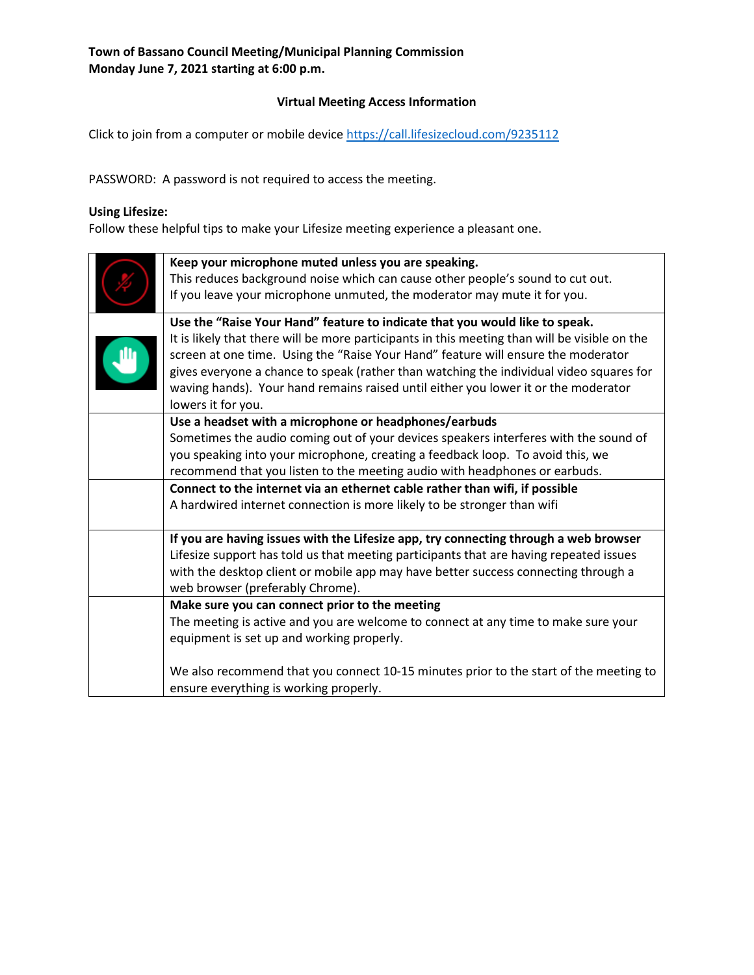## **Virtual Meeting Access Information**

Click to join from a computer or mobile device<https://call.lifesizecloud.com/9235112>

PASSWORD: A password is not required to access the meeting.

#### **Using Lifesize:**

Follow these helpful tips to make your Lifesize meeting experience a pleasant one.

| Keep your microphone muted unless you are speaking.<br>This reduces background noise which can cause other people's sound to cut out.<br>If you leave your microphone unmuted, the moderator may mute it for you.                                                                                                                                                                                                                                                        |
|--------------------------------------------------------------------------------------------------------------------------------------------------------------------------------------------------------------------------------------------------------------------------------------------------------------------------------------------------------------------------------------------------------------------------------------------------------------------------|
| Use the "Raise Your Hand" feature to indicate that you would like to speak.<br>It is likely that there will be more participants in this meeting than will be visible on the<br>screen at one time. Using the "Raise Your Hand" feature will ensure the moderator<br>gives everyone a chance to speak (rather than watching the individual video squares for<br>waving hands). Your hand remains raised until either you lower it or the moderator<br>lowers it for you. |
| Use a headset with a microphone or headphones/earbuds<br>Sometimes the audio coming out of your devices speakers interferes with the sound of<br>you speaking into your microphone, creating a feedback loop. To avoid this, we<br>recommend that you listen to the meeting audio with headphones or earbuds.                                                                                                                                                            |
| Connect to the internet via an ethernet cable rather than wifi, if possible<br>A hardwired internet connection is more likely to be stronger than wifi                                                                                                                                                                                                                                                                                                                   |
| If you are having issues with the Lifesize app, try connecting through a web browser<br>Lifesize support has told us that meeting participants that are having repeated issues<br>with the desktop client or mobile app may have better success connecting through a<br>web browser (preferably Chrome).                                                                                                                                                                 |
| Make sure you can connect prior to the meeting<br>The meeting is active and you are welcome to connect at any time to make sure your<br>equipment is set up and working properly.                                                                                                                                                                                                                                                                                        |
| We also recommend that you connect 10-15 minutes prior to the start of the meeting to<br>ensure everything is working properly.                                                                                                                                                                                                                                                                                                                                          |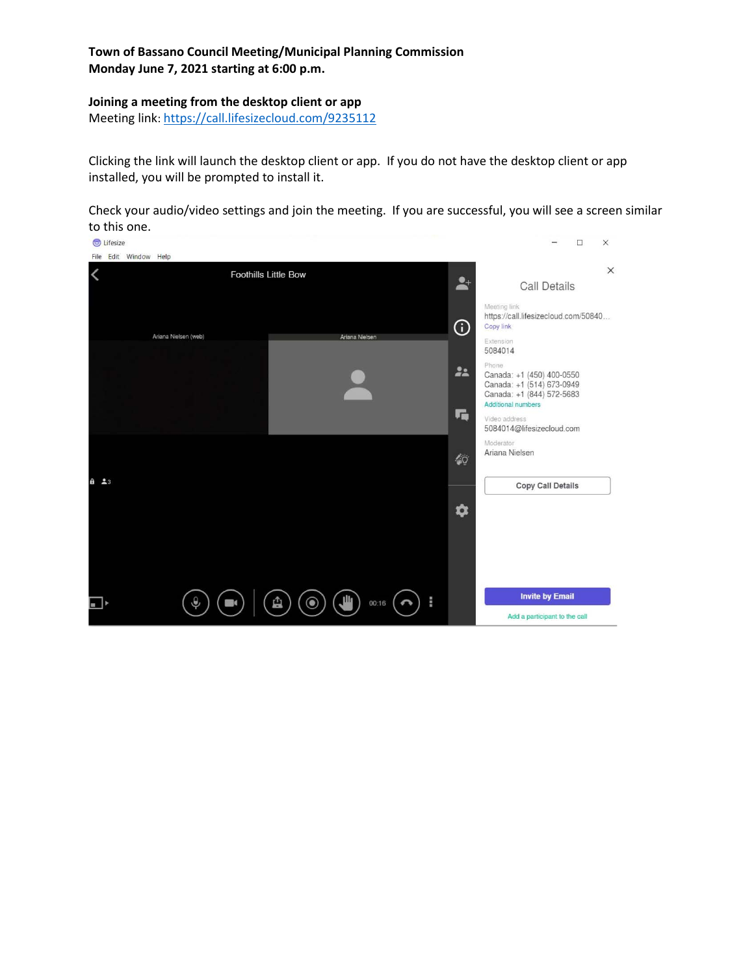#### **Joining a meeting from the desktop client or app**

Meeting link:<https://call.lifesizecloud.com/9235112>

Clicking the link will launch the desktop client or app. If you do not have the desktop client or app installed, you will be prompted to install it.

Check your audio/video settings and join the meeting. If you are successful, you will see a screen similar to this one.

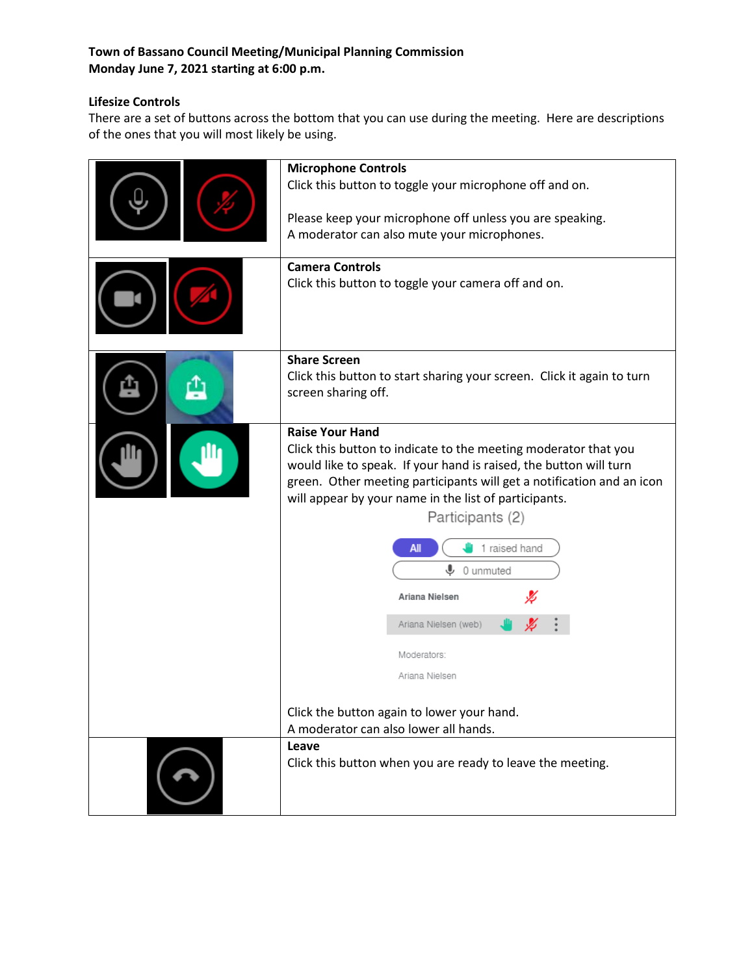# **Lifesize Controls**

There are a set of buttons across the bottom that you can use during the meeting. Here are descriptions of the ones that you will most likely be using.

| <b>Microphone Controls</b><br>Click this button to toggle your microphone off and on.<br>Please keep your microphone off unless you are speaking.<br>A moderator can also mute your microphones.<br><b>Camera Controls</b><br>Click this button to toggle your camera off and on.                                                                                                                                                                                                                                                |  |
|----------------------------------------------------------------------------------------------------------------------------------------------------------------------------------------------------------------------------------------------------------------------------------------------------------------------------------------------------------------------------------------------------------------------------------------------------------------------------------------------------------------------------------|--|
| <b>Share Screen</b><br>Click this button to start sharing your screen. Click it again to turn<br>screen sharing off.                                                                                                                                                                                                                                                                                                                                                                                                             |  |
| <b>Raise Your Hand</b><br>Click this button to indicate to the meeting moderator that you<br>would like to speak. If your hand is raised, the button will turn<br>green. Other meeting participants will get a notification and an icon<br>will appear by your name in the list of participants.<br>Participants (2)<br>1 raised hand<br>All<br>⋓<br>0 unmuted<br>Ariana Nielsen<br>Ariana Nielsen (web)<br>Moderators:<br>Ariana Nielsen<br>Click the button again to lower your hand.<br>A moderator can also lower all hands. |  |
| Leave<br>Click this button when you are ready to leave the meeting.                                                                                                                                                                                                                                                                                                                                                                                                                                                              |  |